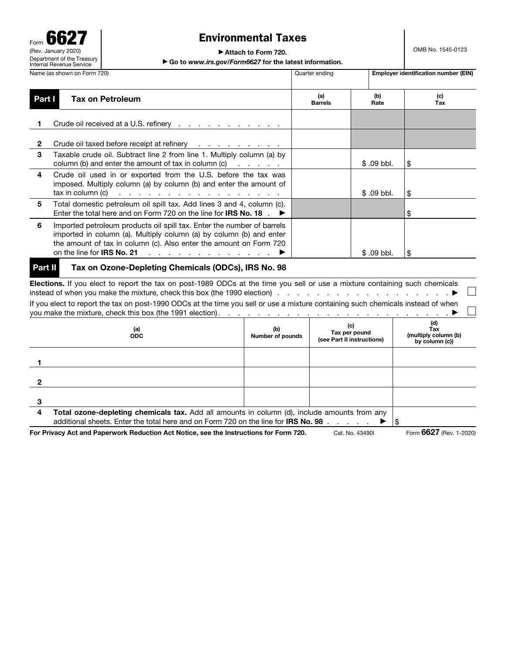# Form 6627 (Rev. January 2020) Department of the Treasury Internal Revenue Service

# Environmental Taxes

▶ Attach to Form 720.

▶ Go to *www.irs.gov/Form6627* for the latest information.

|                                                                                                                                                                                                                                                                                                         | Quarter ending                        |             | <b>Employer identification number (EIN)</b> |  |  |  |  |  |
|---------------------------------------------------------------------------------------------------------------------------------------------------------------------------------------------------------------------------------------------------------------------------------------------------------|---------------------------------------|-------------|---------------------------------------------|--|--|--|--|--|
| <b>Tax on Petroleum</b>                                                                                                                                                                                                                                                                                 | (a)<br><b>Barrels</b>                 | (b)<br>Rate | (c)<br>Tax                                  |  |  |  |  |  |
| Crude oil received at a U.S. refinery                                                                                                                                                                                                                                                                   |                                       |             |                                             |  |  |  |  |  |
| Crude oil taxed before receipt at refinery                                                                                                                                                                                                                                                              |                                       |             |                                             |  |  |  |  |  |
| Taxable crude oil. Subtract line 2 from line 1. Multiply column (a) by<br>column (b) and enter the amount of tax in column (c) $\ldots$ $\ldots$                                                                                                                                                        |                                       | $$.09$ bbl. | \$                                          |  |  |  |  |  |
| Crude oil used in or exported from the U.S. before the tax was<br>imposed. Multiply column (a) by column (b) and enter the amount of<br>$\text{tax in column (c)}$                                                                                                                                      |                                       | $$.09$ bbl. | \$                                          |  |  |  |  |  |
| Total domestic petroleum oil spill tax. Add lines 3 and 4, column (c).<br>Enter the total here and on Form 720 on the line for <b>IRS No. 18</b> .                                                                                                                                                      |                                       |             | \$                                          |  |  |  |  |  |
| Imported petroleum products oil spill tax. Enter the number of barrels<br>imported in column (a). Multiply column (a) by column (b) and enter<br>the amount of tax in column (c). Also enter the amount on Form 720<br>on the line for IRS No. 21 $\ldots$ $\ldots$ $\ldots$ $\ldots$ $\ldots$ $\ldots$ |                                       | $$.09$ bbl. | \$                                          |  |  |  |  |  |
|                                                                                                                                                                                                                                                                                                         | Name (as shown on Form 720)<br>Part I |             |                                             |  |  |  |  |  |

### Part II Tax on Ozone-Depleting Chemicals (ODCs), IRS No. 98

Elections. If you elect to report the tax on post-1989 ODCs at the time you sell or use a mixture containing such chemicals  $\Box$ instead of when you make the mixture, check this box (the 1990 election) . . . . . . . . . . . . . . . . . . ▶ If you elect to report the tax on post-1990 ODCs at the time you sell or use a mixture containing such chemicals instead of when you make the mixture, check this box (the 1991 election). . . . . . . . . . . . . . . . . . . . . . . . ▶

|   | (a)<br><b>ODC</b>                                                                                                                                                                         | (b)<br>Number of pounds | (c)<br>Tax per pound<br>(see Part II instructions) | (d)<br>Тах<br>(multiply column (b)<br>by column (c)) |
|---|-------------------------------------------------------------------------------------------------------------------------------------------------------------------------------------------|-------------------------|----------------------------------------------------|------------------------------------------------------|
|   |                                                                                                                                                                                           |                         |                                                    |                                                      |
|   |                                                                                                                                                                                           |                         |                                                    |                                                      |
|   |                                                                                                                                                                                           |                         |                                                    |                                                      |
| 4 | Total ozone-depleting chemicals tax. Add all amounts in column (d), include amounts from any<br>additional sheets. Enter the total here and on Form 720 on the line for <b>IRS No. 98</b> |                         |                                                    |                                                      |
|   | For Privacy Act and Paperwork Reduction Act Notice, see the Instructions for Form 720.                                                                                                    | Form 6627 (Rev. 1-2020) |                                                    |                                                      |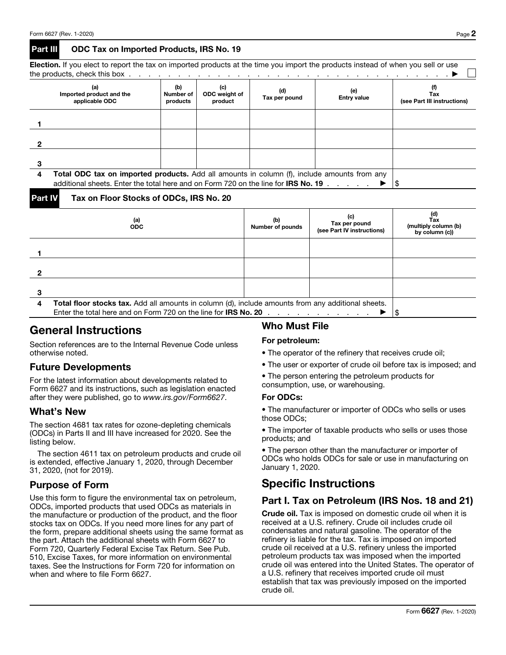#### Part III ODC Tax on Imported Products, IRS No. 19

| the products, check this box $\ldots$ $\ldots$ $\ldots$ $\ldots$ $\ldots$ $\ldots$ $\ldots$ $\ldots$ $\ldots$                     |  |  |  |  |  |  |  |  |  |  |
|-----------------------------------------------------------------------------------------------------------------------------------|--|--|--|--|--|--|--|--|--|--|
| Election. If you elect to report the tax on imported products at the time you import the products instead of when you sell or use |  |  |  |  |  |  |  |  |  |  |

|   | (a)<br>Imported product and the<br>applicable ODC                                                                                                                                               | (b)<br>Number of<br>products | (c)<br>ODC weight of<br>product | (d)<br>Tax per pound | (e)<br><b>Entry value</b> | Tax<br>(see Part III instructions) |  |  |  |  |
|---|-------------------------------------------------------------------------------------------------------------------------------------------------------------------------------------------------|------------------------------|---------------------------------|----------------------|---------------------------|------------------------------------|--|--|--|--|
|   |                                                                                                                                                                                                 |                              |                                 |                      |                           |                                    |  |  |  |  |
| ∩ |                                                                                                                                                                                                 |                              |                                 |                      |                           |                                    |  |  |  |  |
|   |                                                                                                                                                                                                 |                              |                                 |                      |                           |                                    |  |  |  |  |
| 4 | <b>Total ODC tax on imported products.</b> Add all amounts in column (f), include amounts from any<br>additional sheets. Enter the total here and on Form 720 on the line for <b>IRS No. 19</b> |                              |                                 |                      |                           |                                    |  |  |  |  |

Part IV Tax on Floor Stocks of ODCs, IRS No. 20

|  | (a)<br><b>ODC</b> | (b)<br>Number of pounds | (c)<br>Tax per pound<br>(see Part IV instructions) | (d)<br>Tax<br>(multiply column (b)<br>by column (c)) |
|--|-------------------|-------------------------|----------------------------------------------------|------------------------------------------------------|
|  |                   |                         |                                                    |                                                      |
|  |                   |                         |                                                    |                                                      |
|  |                   |                         |                                                    |                                                      |
|  |                   |                         |                                                    |                                                      |
|  |                   |                         |                                                    |                                                      |
|  |                   |                         |                                                    |                                                      |
|  |                   |                         |                                                    |                                                      |
|  |                   |                         |                                                    |                                                      |

# General Instructions

Section references are to the Internal Revenue Code unless otherwise noted.

# Future Developments

For the latest information about developments related to Form 6627 and its instructions, such as legislation enacted after they were published, go to *www.irs.gov/Form6627*.

## What's New

The section 4681 tax rates for ozone-depleting chemicals (ODCs) in Parts II and III have increased for 2020. See the listing below.

The section 4611 tax on petroleum products and crude oil is extended, effective January 1, 2020, through December 31, 2020, (not for 2019).

# Purpose of Form

Use this form to figure the environmental tax on petroleum, ODCs, imported products that used ODCs as materials in the manufacture or production of the product, and the floor stocks tax on ODCs. If you need more lines for any part of the form, prepare additional sheets using the same format as the part. Attach the additional sheets with Form 6627 to Form 720, Quarterly Federal Excise Tax Return. See Pub. 510, Excise Taxes, for more information on environmental taxes. See the Instructions for Form 720 for information on when and where to file Form 6627.

# Who Must File

#### For petroleum:

- The operator of the refinery that receives crude oil;
- The user or exporter of crude oil before tax is imposed; and

• The person entering the petroleum products for consumption, use, or warehousing.

#### For ODCs:

• The manufacturer or importer of ODCs who sells or uses those ODCs;

• The importer of taxable products who sells or uses those products; and

• The person other than the manufacturer or importer of ODCs who holds ODCs for sale or use in manufacturing on January 1, 2020.

# Specific Instructions

# Part I. Tax on Petroleum (IRS Nos. 18 and 21)

Crude oil. Tax is imposed on domestic crude oil when it is received at a U.S. refinery. Crude oil includes crude oil condensates and natural gasoline. The operator of the refinery is liable for the tax. Tax is imposed on imported crude oil received at a U.S. refinery unless the imported petroleum products tax was imposed when the imported crude oil was entered into the United States. The operator of a U.S. refinery that receives imported crude oil must establish that tax was previously imposed on the imported crude oil.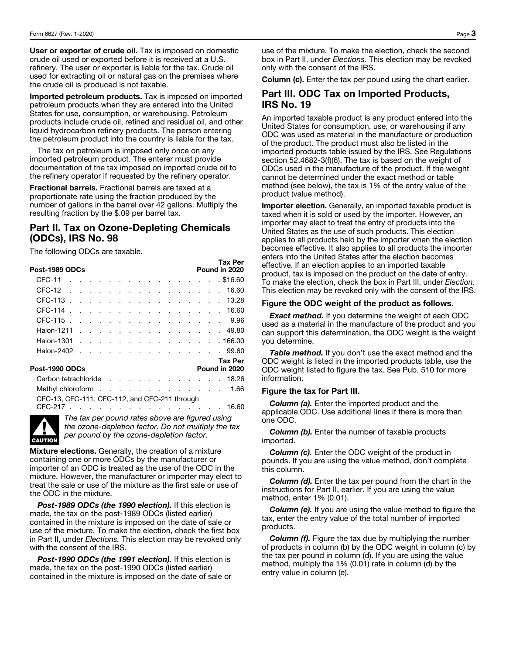User or exporter of crude oil. Tax is imposed on domestic crude oil used or exported before it is received at a U.S. refinery. The user or exporter is liable for the tax. Crude oil used for extracting oil or natural gas on the premises where the crude oil is produced is not taxable.

Imported petroleum products. Tax is imposed on imported petroleum products when they are entered into the United States for use, consumption, or warehousing. Petroleum products include crude oil, refined and residual oil, and other liquid hydrocarbon refinery products. The person entering the petroleum product into the country is liable for the tax.

The tax on petroleum is imposed only once on any imported petroleum product. The enterer must provide documentation of the tax imposed on imported crude oil to the refinery operator if requested by the refinery operator.

Fractional barrels. Fractional barrels are taxed at a proportionate rate using the fraction produced by the number of gallons in the barrel over 42 gallons. Multiply the resulting fraction by the \$.09 per barrel tax.

## Part II. Tax on Ozone-Depleting Chemicals (ODCs), IRS No. 98

The following ODCs are taxable.

| Tax Per<br>Pound in 2020<br>Post-1989 ODCs    |               |                          |        |                             |  |                              |        |                     |                              |               |                                   |        |                                                                                                                                                                                                                                      |  |           |
|-----------------------------------------------|---------------|--------------------------|--------|-----------------------------|--|------------------------------|--------|---------------------|------------------------------|---------------|-----------------------------------|--------|--------------------------------------------------------------------------------------------------------------------------------------------------------------------------------------------------------------------------------------|--|-----------|
| CFC-11                                        |               |                          |        |                             |  |                              |        |                     |                              |               |                                   |        | <u>in the second contract of the second contract of the second contract of the second contract of the second contract of the second contract of the second contract of the second contract of the second contract of the second </u> |  | . \$16.60 |
| CFC-12                                        |               |                          |        | $\sim$ $\sim$               |  | $\sim$ $\sim$ $\sim$         |        | $\sim$              | and the contract of the con- |               |                                   | $\sim$ | $\sim$ $\sim$ $\sim$                                                                                                                                                                                                                 |  | 16.60     |
| CFC-113.                                      |               |                          |        |                             |  |                              |        |                     |                              |               |                                   |        | the company of the company of the company of                                                                                                                                                                                         |  | 13.28     |
| CFC-114.                                      |               | $\overline{\phantom{a}}$ | $\sim$ | $\sim$ $\sim$ $\sim$ $\sim$ |  |                              | $\sim$ | $\sim$              | $\sim$                       | $\sim$ $\sim$ |                                   | $\sim$ | $\sim$                                                                                                                                                                                                                               |  | 16.60     |
| CFC-115.                                      |               | $\sim$ $\sim$ $\sim$     |        |                             |  | and a strong of the state of |        | and the contract of |                              |               |                                   |        | the company of the company of                                                                                                                                                                                                        |  | 9.96      |
| Halon-1211                                    | $\sim$ $\sim$ |                          | $\sim$ | <b>Contract Contract</b>    |  |                              |        |                     |                              |               |                                   |        |                                                                                                                                                                                                                                      |  | . 49.80   |
| Halon-1301                                    | $\sim$        |                          |        |                             |  |                              |        |                     |                              |               |                                   |        | the company of the company of the company of the company of the company of the company of the company of the company of the company of the company of the company of the company of the company of the company of the company        |  | . 166.00  |
| Halon-2402                                    | $\sim$        |                          |        |                             |  |                              |        |                     |                              |               |                                   |        | and the state of the state of the state of the state of the state of the state of the state of the state of the                                                                                                                      |  | 99.60     |
| Tax Per<br>Post-1990 ODCs<br>Pound in 2020    |               |                          |        |                             |  |                              |        |                     |                              |               |                                   |        |                                                                                                                                                                                                                                      |  |           |
| Carbon tetrachloride                          |               |                          |        |                             |  |                              |        |                     |                              |               | <b>Contract Contract</b>          |        |                                                                                                                                                                                                                                      |  | 18.26     |
| Methyl chloroform.                            |               |                          |        |                             |  |                              |        |                     |                              |               |                                   |        | and the contract of the contract of the                                                                                                                                                                                              |  | 1.66      |
| CFC-13, CFC-111, CFC-112, and CFC-211 through |               |                          |        |                             |  |                              |        |                     |                              |               |                                   |        |                                                                                                                                                                                                                                      |  |           |
| CFC-217                                       |               |                          |        |                             |  |                              |        |                     |                              |               | and the company of the company of |        |                                                                                                                                                                                                                                      |  | 16.60     |



*The tax per pound rates above are figured using the ozone-depletion factor. Do not multiply the tax per pound by the ozone-depletion factor.* 

**Mixture elections.** Generally, the creation of a mixture containing one or more ODCs by the manufacturer or importer of an ODC is treated as the use of the ODC in the mixture. However, the manufacturer or importer may elect to treat the sale or use of the mixture as the first sale or use of the ODC in the mixture.

*Post-1989 ODCs (the 1990 election).* If this election is made, the tax on the post-1989 ODCs (listed earlier) contained in the mixture is imposed on the date of sale or use of the mixture. To make the election, check the first box in Part II, under *Elections.* This election may be revoked only with the consent of the IRS.

*Post-1990 ODCs (the 1991 election).* If this election is made, the tax on the post-1990 ODCs (listed earlier) contained in the mixture is imposed on the date of sale or use of the mixture. To make the election, check the second box in Part II, under *Elections.* This election may be revoked only with the consent of the IRS.

Column (c). Enter the tax per pound using the chart earlier.

### Part III. ODC Tax on Imported Products, IRS No. 19

An imported taxable product is any product entered into the United States for consumption, use, or warehousing if any ODC was used as material in the manufacture or production of the product. The product must also be listed in the imported products table issued by the IRS. See Regulations section 52.4682-3(f)(6). The tax is based on the weight of ODCs used in the manufacture of the product. If the weight cannot be determined under the exact method or table method (see below), the tax is 1% of the entry value of the product (value method).

Importer election. Generally, an imported taxable product is taxed when it is sold or used by the importer. However, an importer may elect to treat the entry of products into the United States as the use of such products. This election applies to all products held by the importer when the election becomes effective. It also applies to all products the importer enters into the United States after the election becomes effective. If an election applies to an imported taxable product, tax is imposed on the product on the date of entry. To make the election, check the box in Part III, under *Election.*  This election may be revoked only with the consent of the IRS.

#### Figure the ODC weight of the product as follows.

*Exact method.* If you determine the weight of each ODC used as a material in the manufacture of the product and you can support this determination, the ODC weight is the weight you determine.

**Table method.** If you don't use the exact method and the ODC weight is listed in the imported products table, use the ODC weight listed to figure the tax. See Pub. 510 for more information.

#### Figure the tax for Part III.

*Column (a).* Enter the imported product and the applicable ODC. Use additional lines if there is more than one ODC.

**Column (b).** Enter the number of taxable products imported.

*Column (c).* Enter the ODC weight of the product in pounds. If you are using the value method, don't complete this column.

*Column (d).* Enter the tax per pound from the chart in the instructions for Part II, earlier. If you are using the value method, enter 1% (0.01).

**Column (e).** If you are using the value method to figure the tax, enter the entry value of the total number of imported products.

*Column (f).* Figure the tax due by multiplying the number of products in column (b) by the ODC weight in column (c) by the tax per pound in column (d). If you are using the value method, multiply the 1% (0.01) rate in column (d) by the entry value in column (e).